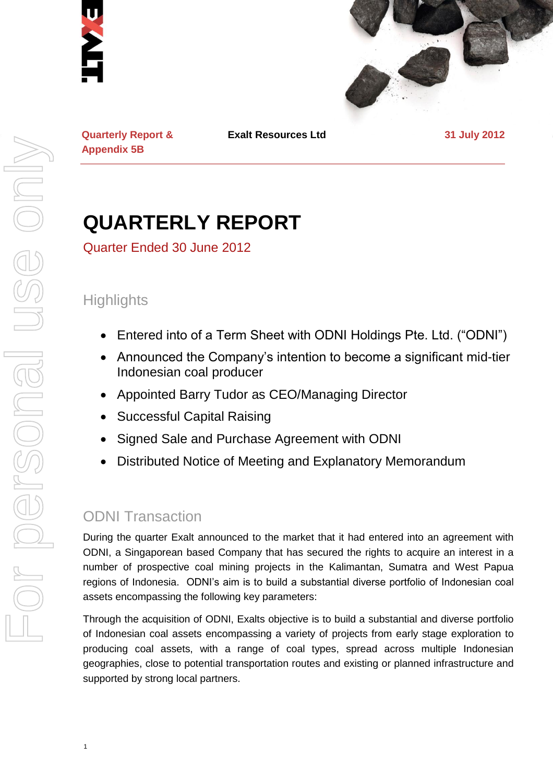



**Quarterly Report & Appendix 5B**

**Exalt Resources Ltd 31 July 2012**

# **QUARTERLY REPORT**

Quarter Ended 30 June 2012

# **Highlights**

- Entered into of a Term Sheet with ODNI Holdings Pte. Ltd. ("ODNI")
- Announced the Company's intention to become a significant mid-tier Indonesian coal producer
- Appointed Barry Tudor as CEO/Managing Director
- Successful Capital Raising
- Signed Sale and Purchase Agreement with ODNI
- Distributed Notice of Meeting and Explanatory Memorandum

# ODNI Transaction

During the quarter Exalt announced to the market that it had entered into an agreement with ODNI, a Singaporean based Company that has secured the rights to acquire an interest in a number of prospective coal mining projects in the Kalimantan, Sumatra and West Papua regions of Indonesia. ODNI's aim is to build a substantial diverse portfolio of Indonesian coal assets encompassing the following key parameters:

Through the acquisition of ODNI, Exalts objective is to build a substantial and diverse portfolio of Indonesian coal assets encompassing a variety of projects from early stage exploration to producing coal assets, with a range of coal types, spread across multiple Indonesian geographies, close to potential transportation routes and existing or planned infrastructure and supported by strong local partners.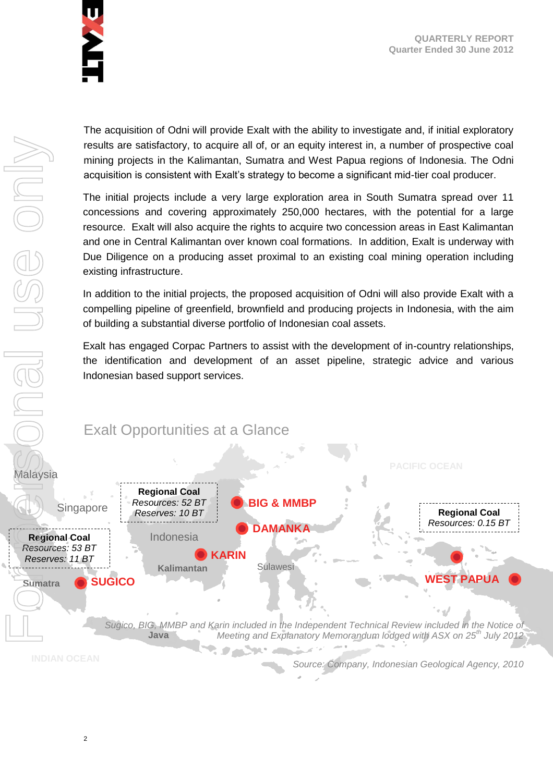

**QUARTERLY REPORT Quarter Ended 30 June 2012**

The acquisition of Odni will provide Exalt with the ability to investigate and, if initial exploratory results are satisfactory, to acquire all of, or an equity interest in, a number of prospective coal mining projects in the Kalimantan, Sumatra and West Papua regions of Indonesia. The Odni acquisition is consistent with Exalt's strategy to become a significant mid-tier coal producer.

The initial projects include a very large exploration area in South Sumatra spread over 11 concessions and covering approximately 250,000 hectares, with the potential for a large resource. Exalt will also acquire the rights to acquire two concession areas in East Kalimantan and one in Central Kalimantan over known coal formations. In addition, Exalt is underway with Due Diligence on a producing asset proximal to an existing coal mining operation including existing infrastructure.

In addition to the initial projects, the proposed acquisition of Odni will also provide Exalt with a compelling pipeline of greenfield, brownfield and producing projects in Indonesia, with the aim of building a substantial diverse portfolio of Indonesian coal assets.

Exalt has engaged Corpac Partners to assist with the development of in-country relationships, the identification and development of an asset pipeline, strategic advice and various Indonesian based support services.

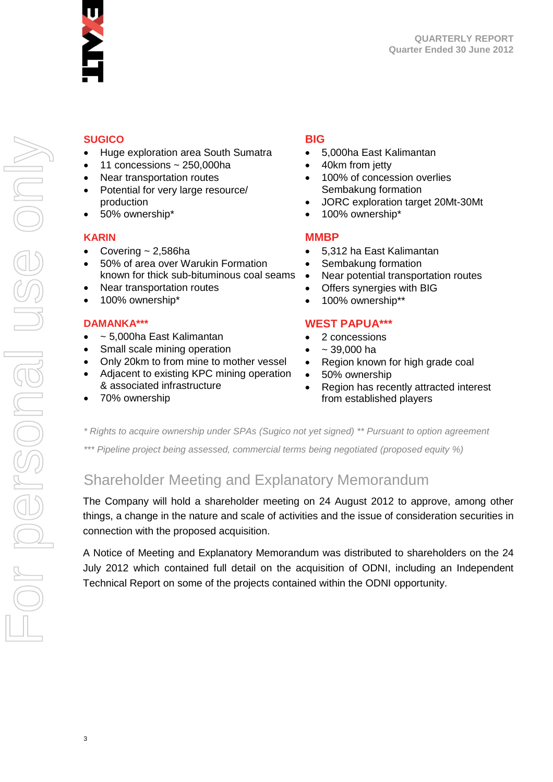

### **SUGICO**

- Huge exploration area South Sumatra
- 11 concessions ~ 250,000ha
- Near transportation routes
- Potential for very large resource/ production
- 50% ownership\*

### **KARIN**

- Covering  $\sim$  2,586ha
- 50% of area over Warukin Formation known for thick sub-bituminous coal seams
- Near transportation routes
- 100% ownership\*

### **DAMANKA\*\*\***

- ~ 5,000ha East Kalimantan
- Small scale mining operation
- Only 20km to from mine to mother vessel
- Adjacent to existing KPC mining operation & associated infrastructure
- 70% ownership

### **BIG**

- 5,000ha East Kalimantan
- 40km from jetty
- 100% of concession overlies Sembakung formation
- JORC exploration target 20Mt-30Mt
- 100% ownership\*

### **MMBP**

- 5,312 ha East Kalimantan
- Sembakung formation
- Near potential transportation routes
- Offers synergies with BIG
- 100% ownership\*\*

### **WEST PAPUA\*\*\***

- 2 concessions
- $39,000$  ha
- Region known for high grade coal
- 50% ownership
- Region has recently attracted interest from established players

*\* Rights to acquire ownership under SPAs (Sugico not yet signed) \*\* Pursuant to option agreement* 

*\*\*\* Pipeline project being assessed, commercial terms being negotiated (proposed equity %)* 

# Shareholder Meeting and Explanatory Memorandum

The Company will hold a shareholder meeting on 24 August 2012 to approve, among other things, a change in the nature and scale of activities and the issue of consideration securities in connection with the proposed acquisition.

A Notice of Meeting and Explanatory Memorandum was distributed to shareholders on the 24 July 2012 which contained full detail on the acquisition of ODNI, including an Independent Technical Report on some of the projects contained within the ODNI opportunity.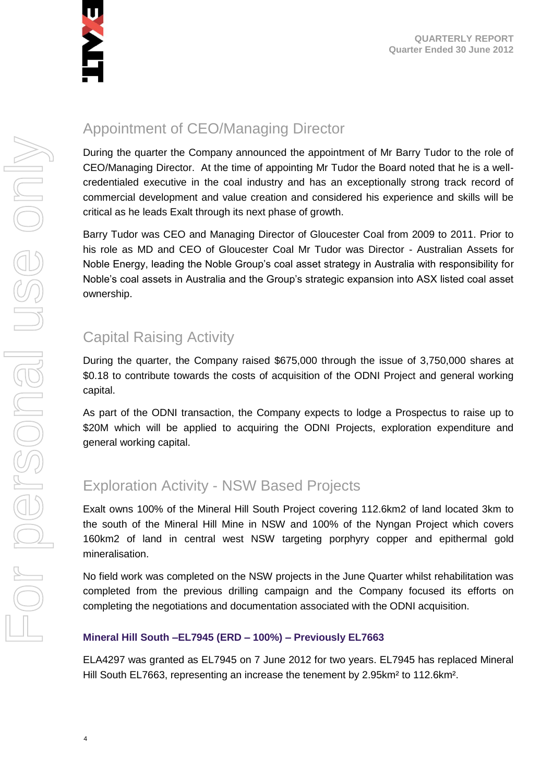

# For personal use only Forersonal use onn-

# Appointment of CEO/Managing Director

During the quarter the Company announced the appointment of Mr Barry Tudor to the role of CEO/Managing Director. At the time of appointing Mr Tudor the Board noted that he is a wellcredentialed executive in the coal industry and has an exceptionally strong track record of commercial development and value creation and considered his experience and skills will be critical as he leads Exalt through its next phase of growth.

Barry Tudor was CEO and Managing Director of Gloucester Coal from 2009 to 2011. Prior to his role as MD and CEO of Gloucester Coal Mr Tudor was Director - Australian Assets for Noble Energy, leading the Noble Group's coal asset strategy in Australia with responsibility for Noble's coal assets in Australia and the Group's strategic expansion into ASX listed coal asset ownership.

# Capital Raising Activity

During the quarter, the Company raised \$675,000 through the issue of 3,750,000 shares at \$0.18 to contribute towards the costs of acquisition of the ODNI Project and general working capital.

As part of the ODNI transaction, the Company expects to lodge a Prospectus to raise up to \$20M which will be applied to acquiring the ODNI Projects, exploration expenditure and general working capital.

# Exploration Activity - NSW Based Projects

Exalt owns 100% of the Mineral Hill South Project covering 112.6km2 of land located 3km to the south of the Mineral Hill Mine in NSW and 100% of the Nyngan Project which covers 160km2 of land in central west NSW targeting porphyry copper and epithermal gold mineralisation.

No field work was completed on the NSW projects in the June Quarter whilst rehabilitation was completed from the previous drilling campaign and the Company focused its efforts on completing the negotiations and documentation associated with the ODNI acquisition.

# **Mineral Hill South –EL7945 (ERD – 100%) – Previously EL7663**

ELA4297 was granted as EL7945 on 7 June 2012 for two years. EL7945 has replaced Mineral Hill South EL7663, representing an increase the tenement by 2.95km² to 112.6km².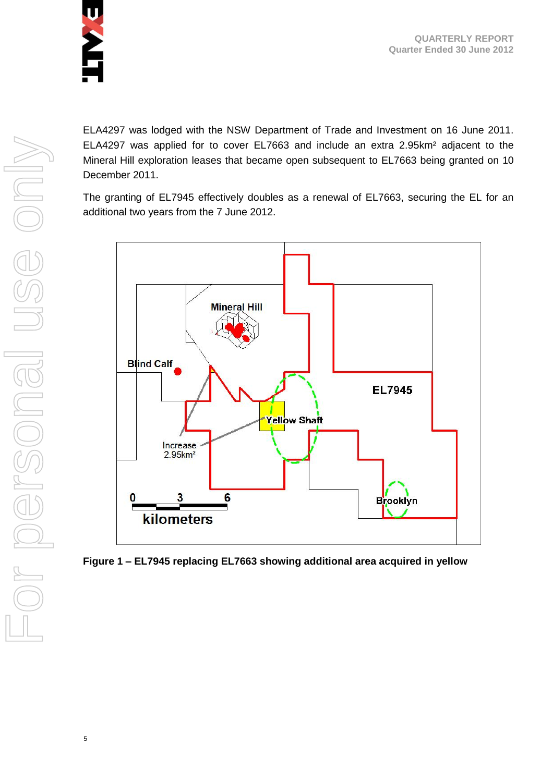

ELA4297 was lodged with the NSW Department of Trade and Investment on 16 June 2011. ELA4297 was applied for to cover EL7663 and include an extra 2.95km² adjacent to the Mineral Hill exploration leases that became open subsequent to EL7663 being granted on 10 December 2011.

The granting of EL7945 effectively doubles as a renewal of EL7663, securing the EL for an additional two years from the 7 June 2012.



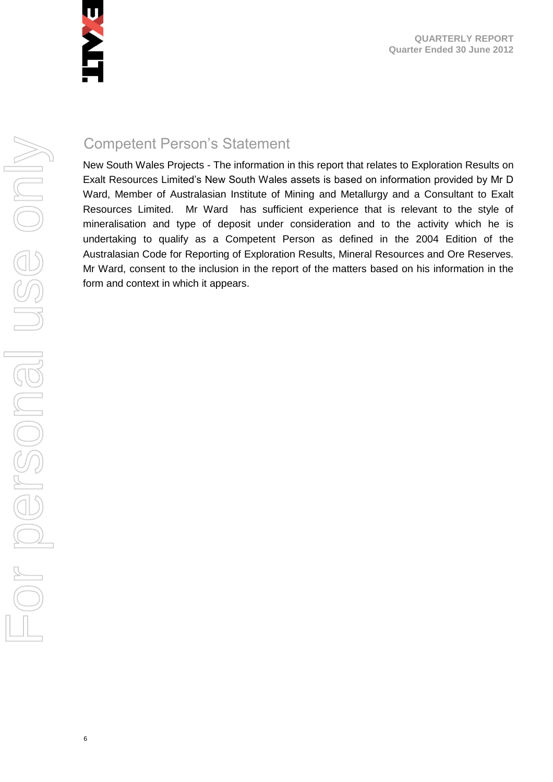

6

# Competent Person's Statement

New South Wales Projects - The information in this report that relates to Exploration Results on Exalt Resources Limited's New South Wales assets is based on information provided by Mr D Ward, Member of Australasian Institute of Mining and Metallurgy and a Consultant to Exalt Resources Limited. Mr Ward has sufficient experience that is relevant to the style of mineralisation and type of deposit under consideration and to the activity which he is undertaking to qualify as a Competent Person as defined in the 2004 Edition of the Australasian Code for Reporting of Exploration Results, Mineral Resources and Ore Reserves. Mr Ward, consent to the inclusion in the report of the matters based on his information in the form and context in which it appears.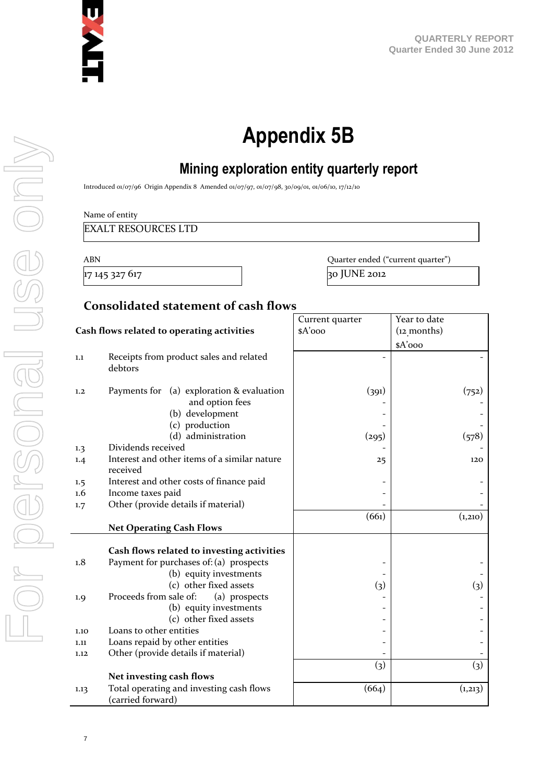

# **Appendix 5B**

# **Mining exploration entity quarterly report**

Introduced 01/07/96 Origin Appendix 8 Amended 01/07/97, 01/07/98, 30/09/01, 01/06/10, 17/12/10

Name of entity

EXALT RESOURCES LTD

ABN Quarter ended ("current quarter") 17 145 327 617 30 30 JUNE 2012

### **Consolidated statement of cash flows**

|                                            |                                                              | Current quarter   | Year to date      |
|--------------------------------------------|--------------------------------------------------------------|-------------------|-------------------|
| Cash flows related to operating activities |                                                              | \$A'ooo           | $(12$ months)     |
|                                            |                                                              |                   | $A'$ ooo          |
| 1.1                                        | Receipts from product sales and related<br>debtors           |                   |                   |
| 1,2                                        | Payments for (a) exploration & evaluation<br>and option fees | (391)             | (752)             |
|                                            | (b) development                                              |                   |                   |
|                                            | (c) production                                               |                   |                   |
|                                            | (d) administration                                           | (295)             | (578)             |
| 1.3                                        | Dividends received                                           |                   |                   |
| 1.4                                        | Interest and other items of a similar nature<br>received     | 25                | 120               |
| 1.5                                        | Interest and other costs of finance paid                     |                   |                   |
| $1.6\,$                                    | Income taxes paid                                            |                   |                   |
| 1.7                                        | Other (provide details if material)                          |                   |                   |
|                                            |                                                              | (661)             | (1,210)           |
|                                            | <b>Net Operating Cash Flows</b>                              |                   |                   |
|                                            |                                                              |                   |                   |
|                                            | Cash flows related to investing activities                   |                   |                   |
| 1.8                                        | Payment for purchases of: (a) prospects                      |                   |                   |
|                                            | (b) equity investments                                       |                   |                   |
|                                            | (c) other fixed assets                                       | (3)               | (3)               |
| 1.9                                        | Proceeds from sale of:<br>(a) prospects                      |                   |                   |
|                                            | (b) equity investments                                       |                   |                   |
|                                            | (c) other fixed assets                                       |                   |                   |
| 1.10                                       | Loans to other entities                                      |                   |                   |
| 1.11                                       | Loans repaid by other entities                               |                   |                   |
| 1.12                                       | Other (provide details if material)                          |                   |                   |
|                                            |                                                              | $\left( 3\right)$ | $\left( 3\right)$ |
|                                            | Net investing cash flows                                     |                   |                   |
| 1.13                                       | Total operating and investing cash flows                     | (664)             | (1,213)           |
|                                            | (carried forward)                                            |                   |                   |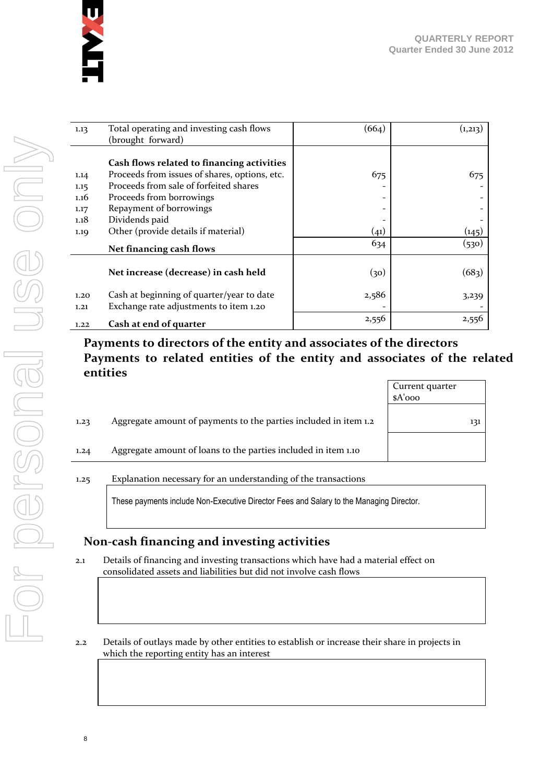

Current quarter

| 1.13 | Total operating and investing cash flows      | (664)                    | (1,213)            |
|------|-----------------------------------------------|--------------------------|--------------------|
|      | (brought forward)                             |                          |                    |
|      |                                               |                          |                    |
|      | Cash flows related to financing activities    |                          |                    |
| 1.14 | Proceeds from issues of shares, options, etc. | 675                      | 675                |
| 1.15 | Proceeds from sale of forfeited shares        |                          |                    |
| 1.16 | Proceeds from borrowings                      | $\overline{\phantom{a}}$ |                    |
| 1.17 | Repayment of borrowings                       |                          |                    |
| 1.18 | Dividends paid                                |                          |                    |
| 1.19 | Other (provide details if material)           | (41)                     | (145)              |
|      | Net financing cash flows                      | 634                      | (530)              |
|      |                                               |                          |                    |
|      | Net increase (decrease) in cash held          | (30)                     | (68 <sub>3</sub> ) |
| 1,20 | Cash at beginning of quarter/year to date     | 2,586                    | 3,239              |
| 1,21 | Exchange rate adjustments to item 1.20        |                          |                    |
| 1.22 | Cash at end of quarter                        | 2,556                    | 2,556              |

# **Payments to directors of the entity and associates of the directors Payments to related entities of the entity and associates of the related entities**

|      |                                                                  | \$A'ooo |
|------|------------------------------------------------------------------|---------|
| 1.23 | Aggregate amount of payments to the parties included in item 1.2 | 131     |
| 1.24 | Aggregate amount of loans to the parties included in item 1.10   |         |
|      |                                                                  |         |

### 1.25 Explanation necessary for an understanding of the transactions

These payments include Non-Executive Director Fees and Salary to the Managing Director.

# **Non-cash financing and investing activities**

- 2.1 Details of financing and investing transactions which have had a material effect on consolidated assets and liabilities but did not involve cash flows
- 2.2 Details of outlays made by other entities to establish or increase their share in projects in which the reporting entity has an interest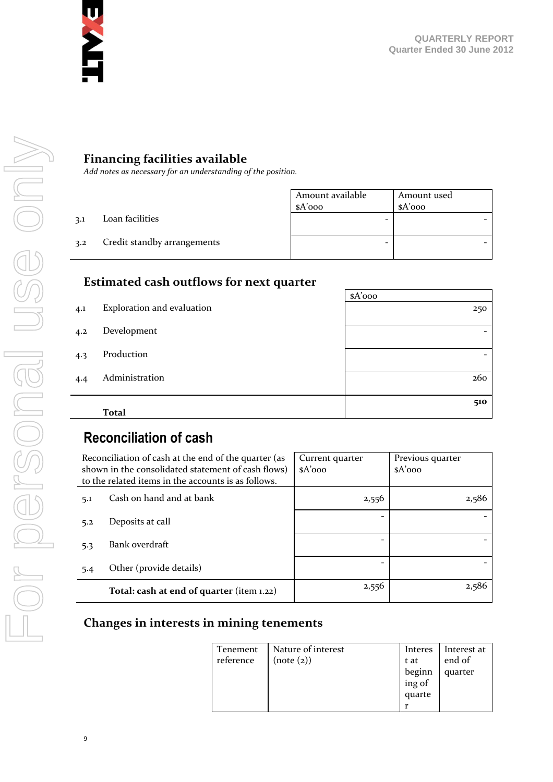

# **Financing facilities available**

*Add notes as necessary for an understanding of the position.*

|     |                             | Amount available | Amount used |
|-----|-----------------------------|------------------|-------------|
|     |                             | $A'$ 000         | $A'$ ooo    |
| 3.1 | Loan facilities             | -                |             |
| 3.2 | Credit standby arrangements | -                |             |

### **Estimated cash outflows for next quarter**

|     |                            | $A'$ 000                 |
|-----|----------------------------|--------------------------|
| 4.1 | Exploration and evaluation | 250                      |
| 4.2 | Development                | $\overline{\phantom{0}}$ |
| 4.3 | Production                 | $\overline{\phantom{0}}$ |
| 4.4 | Administration             | 260                      |
|     |                            | 510                      |
|     | <b>Total</b>               |                          |

# **Reconciliation of cash**

|     | Reconciliation of cash at the end of the quarter (as<br>shown in the consolidated statement of cash flows)<br>to the related items in the accounts is as follows. | Current quarter<br>$A'$ 000 | Previous quarter<br>$A'$ 000 |
|-----|-------------------------------------------------------------------------------------------------------------------------------------------------------------------|-----------------------------|------------------------------|
| 5.1 | Cash on hand and at bank                                                                                                                                          | 2,556                       | 2,586                        |
| 5.2 | Deposits at call                                                                                                                                                  |                             |                              |
| 5.3 | Bank overdraft                                                                                                                                                    |                             |                              |
| 5.4 | Other (provide details)                                                                                                                                           |                             |                              |
|     | Total: cash at end of quarter (item 1.22)                                                                                                                         | 2,556                       | 2,586                        |

### **Changes in interests in mining tenements**

| Tenement  | Nature of interest | Interes                    | Interest at |
|-----------|--------------------|----------------------------|-------------|
| reference | (note (2))         | t at                       | end of      |
|           |                    |                            | quarter     |
|           |                    | beginn<br>ing of<br>quarte |             |
|           |                    |                            |             |
|           |                    | r                          |             |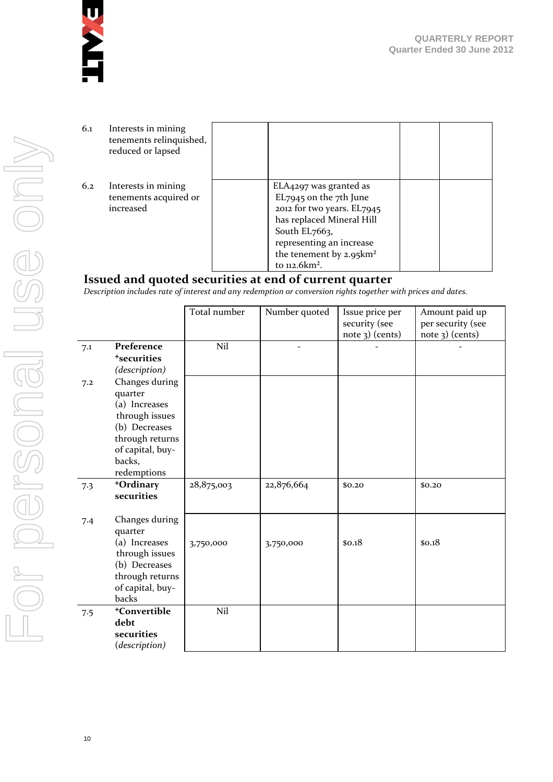

| 6.1 | Interests in mining<br>tenements relinquished,<br>reduced or lapsed |                                                                                                                                                                                                                                |  |
|-----|---------------------------------------------------------------------|--------------------------------------------------------------------------------------------------------------------------------------------------------------------------------------------------------------------------------|--|
| 6.2 | Interests in mining<br>tenements acquired or<br>increased           | ELA4297 was granted as<br>EL7945 on the 7th June<br>2012 for two years. EL7945<br>has replaced Mineral Hill<br>South $EL$ 7663,<br>representing an increase<br>the tenement by $2.95 \text{km}^2$<br>to 112.6km <sup>2</sup> . |  |

# **Issued and quoted securities at end of current quarter**

*Description includes rate of interest and any redemption or conversion rights together with prices and dates.*

|     |                                                                                                                                               | Total number | Number quoted | Issue price per<br>security (see<br>note 3) (cents) | Amount paid up<br>per security (see<br>note 3) (cents) |
|-----|-----------------------------------------------------------------------------------------------------------------------------------------------|--------------|---------------|-----------------------------------------------------|--------------------------------------------------------|
| 7.1 | Preference<br><sup>+</sup> securities<br>(description)                                                                                        | Nil          |               |                                                     |                                                        |
| 7.2 | Changes during<br>quarter<br>(a) Increases<br>through issues<br>(b) Decreases<br>through returns<br>of capital, buy-<br>backs,<br>redemptions |              |               |                                                     |                                                        |
| 7.3 | +Ordinary<br>securities                                                                                                                       | 28,875,003   | 22,876,664    | \$0,20                                              | \$0.20                                                 |
| 7.4 | Changes during<br>quarter<br>(a) Increases<br>through issues<br>(b) Decreases<br>through returns<br>of capital, buy-<br>backs                 | 3,750,000    | 3,750,000     | \$0.18                                              | \$0.18                                                 |
| 7.5 | <sup>+</sup> Convertible<br>debt<br>securities<br>(description)                                                                               | Nil          |               |                                                     |                                                        |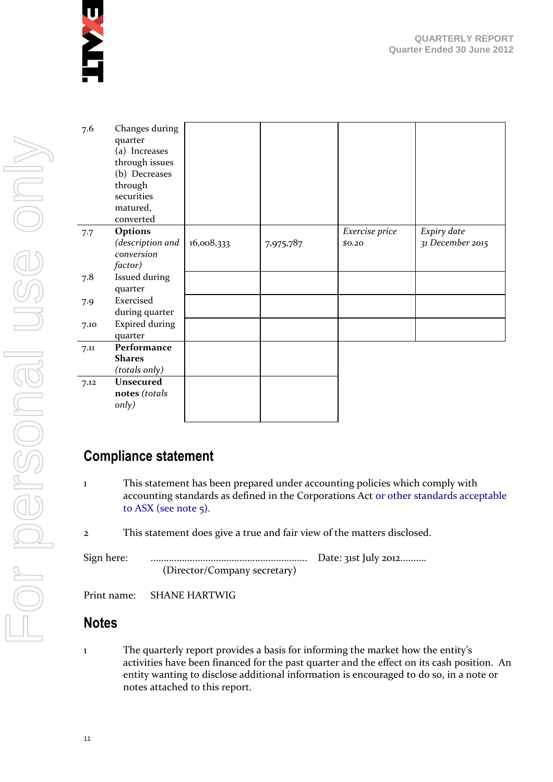

| 7.6  | Changes during<br>quarter<br>(a) Increases<br>through issues<br>(b) Decreases<br>through<br>securities<br>matured,<br>converted |            |           |                |                  |
|------|---------------------------------------------------------------------------------------------------------------------------------|------------|-----------|----------------|------------------|
| 7.7  | Options                                                                                                                         |            |           | Exercise price | Expiry date      |
|      | (description and                                                                                                                | 16,008,333 | 7,975,787 | \$0.20         | 31 December 2015 |
|      | conversion                                                                                                                      |            |           |                |                  |
|      | factor)                                                                                                                         |            |           |                |                  |
| 7.8  | Issued during                                                                                                                   |            |           |                |                  |
|      | quarter                                                                                                                         |            |           |                |                  |
| 7.9  | Exercised                                                                                                                       |            |           |                |                  |
|      | during quarter                                                                                                                  |            |           |                |                  |
| 7.10 | <b>Expired during</b>                                                                                                           |            |           |                |                  |
|      | quarter                                                                                                                         |            |           |                |                  |
| 7.11 | Performance                                                                                                                     |            |           |                |                  |
|      | <b>Shares</b>                                                                                                                   |            |           |                |                  |
|      | (totals only)                                                                                                                   |            |           |                |                  |
| 7.12 | Unsecured                                                                                                                       |            |           |                |                  |
|      | notes (totals                                                                                                                   |            |           |                |                  |
|      | only)                                                                                                                           |            |           |                |                  |
|      |                                                                                                                                 |            |           |                |                  |

# **Compliance statement**

- 1 This statement has been prepared under accounting policies which comply with accounting standards as defined in the Corporations Act or other standards acceptable to ASX (see note 5).
- 2 This statement does give a true and fair view of the matters disclosed.

Sign here: ............................................................ Date: 31st July 2012.......... (Director/Company secretary)

Print name: SHANE HARTWIG

# **Notes**

1 The quarterly report provides a basis for informing the market how the entity's activities have been financed for the past quarter and the effect on its cash position. An entity wanting to disclose additional information is encouraged to do so, in a note or notes attached to this report.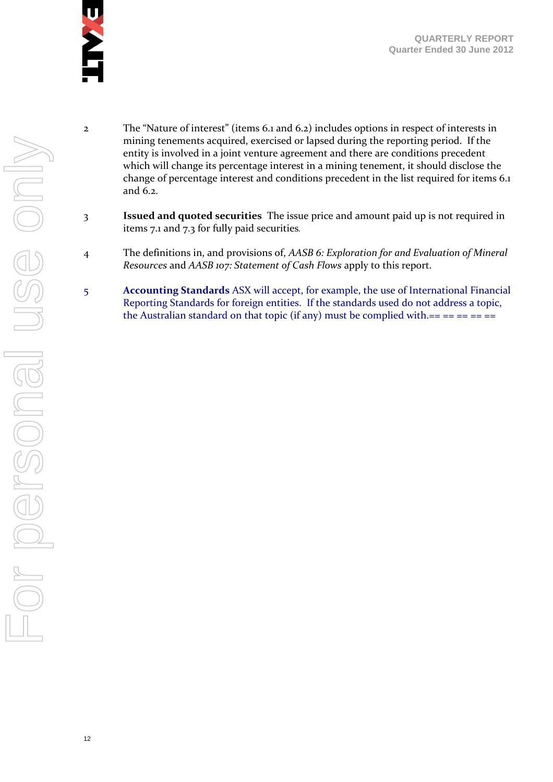

- 2 The "Nature of interest" (items 6.1 and 6.2) includes options in respect of interests in mining tenements acquired, exercised or lapsed during the reporting period. If the entity is involved in a joint venture agreement and there are conditions precedent which will change its percentage interest in a mining tenement, it should disclose the change of percentage interest and conditions precedent in the list required for items 6.1 and 6.2.
- 3 **Issued and quoted securities** The issue price and amount paid up is not required in items 7.1 and 7.3 for fully paid securities*.*
- 4 The definitions in, and provisions of, *AASB 6: Exploration for and Evaluation of Mineral Resources* and *AASB 107: Statement of Cash Flows* apply to this report.
- 5 **Accounting Standards** ASX will accept, for example, the use of International Financial Reporting Standards for foreign entities. If the standards used do not address a topic, the Australian standard on that topic (if any) must be complied with.== == == == ==